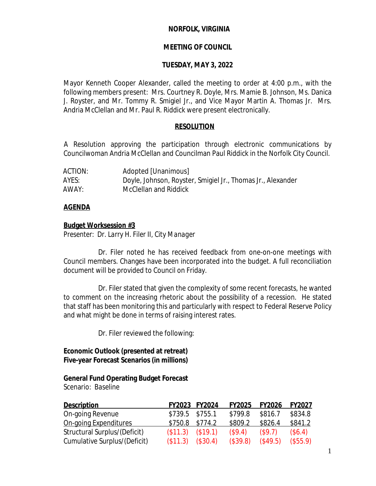### **NORFOLK, VIRGINIA**

### **MEETING OF COUNCIL**

#### **TUESDAY, MAY 3, 2022**

Mayor Kenneth Cooper Alexander, called the meeting to order at 4:00 p.m., with the following members present: Mrs. Courtney R. Doyle, Mrs. Mamie B. Johnson, Ms. Danica J. Royster, and Mr. Tommy R. Smigiel Jr., and Vice Mayor Martin A. Thomas Jr. Mrs. Andria McClellan and Mr. Paul R. Riddick were present electronically.

### **RESOLUTION**

A Resolution approving the participation through electronic communications by Councilwoman Andria McClellan and Councilman Paul Riddick in the Norfolk City Council.

| ACTION: | Adopted [Unanimous]                                         |
|---------|-------------------------------------------------------------|
| AYES:   | Doyle, Johnson, Royster, Smigiel Jr., Thomas Jr., Alexander |
| AWAY:   | McClellan and Riddick                                       |

### **AGENDA**

#### **Budget Worksession #3**

*Presenter: Dr. Larry H. Filer II, City Manager*

Dr. Filer noted he has received feedback from one-on-one meetings with Council members. Changes have been incorporated into the budget. A full reconciliation document will be provided to Council on Friday.

Dr. Filer stated that given the complexity of some recent forecasts, he wanted to comment on the increasing rhetoric about the possibility of a recession. He stated that staff has been monitoring this and particularly with respect to Federal Reserve Policy and what might be done in terms of raising interest rates.

Dr. Filer reviewed the following:

### **Economic Outlook (presented at retreat) Five-year Forecast Scenarios (in millions)**

### **General Fund Operating Budget Forecast**

Scenario: *Baseline*

| <b>Description</b>           |                   | FY2023 FY2024 | <b>FY2025</b> | <b>FY2026</b> | <b>FY2027</b> |
|------------------------------|-------------------|---------------|---------------|---------------|---------------|
| On-going Revenue             | $$739.5$ $$755.1$ |               | \$799.8       | \$816.7       | \$834.8       |
| On-going Expenditures        | $$750.8$ $$774.2$ |               | \$809.2       | \$826.4       | \$841.2       |
| Structural Surplus/(Deficit) | (\$11.3)          | (\$19.1)      | (S9.4)        | (S9.7)        | (\$6.4)       |
| Cumulative Surplus/(Deficit) | (\$11.3)          | (\$30.4)      | (\$39.8)      | (\$49.5)      | (\$55.9)      |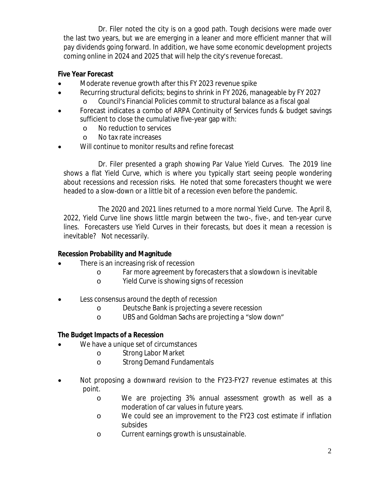Dr. Filer noted the city is on a good path. Tough decisions were made over the last two years, but we are emerging in a leaner and more efficient manner that will pay dividends going forward. In addition, we have some economic development projects coming online in 2024 and 2025 that will help the city's revenue forecast.

## **Five Year Forecast**

- Moderate revenue growth after this FY 2023 revenue spike
- Recurring structural deficits; begins to shrink in FY 2026, manageable by FY 2027 o Council's Financial Policies commit to structural balance as a fiscal goal
- Forecast indicates a combo of ARPA Continuity of Services funds & budget savings sufficient to close the cumulative five-year gap with:
	- o No reduction to services
	- o No tax rate increases
- Will continue to monitor results and refine forecast

Dr. Filer presented a graph showing Par Value Yield Curves. The 2019 line shows a flat Yield Curve, which is where you typically start seeing people wondering about recessions and recession risks. He noted that some forecasters thought we were headed to a slow-down or a little bit of a recession even before the pandemic.

The 2020 and 2021 lines returned to a more normal Yield Curve. The April 8, 2022, Yield Curve line shows little margin between the two-, five-, and ten-year curve lines. Forecasters use Yield Curves in their forecasts, but does it mean a recession is inevitable? Not necessarily.

# **Recession Probability and Magnitude**

- There is an increasing risk of recession
	- o Far more agreement by forecasters that a slowdown is inevitable
	- o Yield Curve is showing signs of recession
- Less consensus around the depth of recession
	- o Deutsche Bank is projecting a severe recession
	- o UBS and Goldman Sachs are projecting a "slow down"

## **The Budget Impacts of a Recession**

- We have a unique set of circumstances
	- o Strong Labor Market
	- o Strong Demand Fundamentals
- Not proposing a downward revision to the FY23-FY27 revenue estimates at this point.
	- o We are projecting 3% annual assessment growth as well as a moderation of car values in future years.
	- o We could see an improvement to the FY23 cost estimate if inflation subsides
	- o Current earnings growth is unsustainable.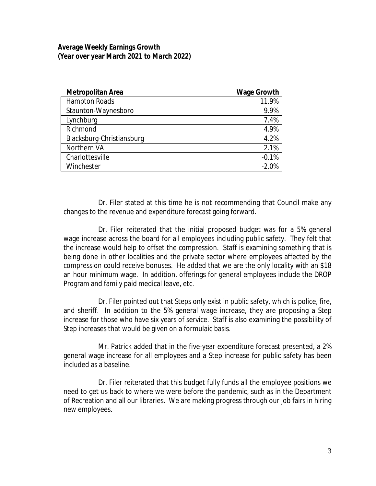## **Average Weekly Earnings Growth (Year over year March 2021 to March 2022)**

| <b>Metropolitan Area</b>  | <b>Wage Growth</b> |  |  |
|---------------------------|--------------------|--|--|
| <b>Hampton Roads</b>      | 11.9%              |  |  |
| Staunton-Waynesboro       | 9.9%               |  |  |
| Lynchburg                 | 7.4%               |  |  |
| Richmond                  | 4.9%               |  |  |
| Blacksburg-Christiansburg | 4.2%               |  |  |
| Northern VA               | 2.1%               |  |  |
| Charlottesville           | $-0.1%$            |  |  |
| Winchester                | $-2.0%$            |  |  |

Dr. Filer stated at this time he is not recommending that Council make any changes to the revenue and expenditure forecast going forward.

Dr. Filer reiterated that the initial proposed budget was for a 5% general wage increase across the board for all employees including public safety. They felt that the increase would help to offset the compression. Staff is examining something that is being done in other localities and the private sector where employees affected by the compression could receive bonuses. He added that we are the only locality with an \$18 an hour minimum wage. In addition, offerings for general employees include the DROP Program and family paid medical leave, etc.

Dr. Filer pointed out that Steps only exist in public safety, which is police, fire, and sheriff. In addition to the 5% general wage increase, they are proposing a Step increase for those who have six years of service. Staff is also examining the possibility of Step increases that would be given on a formulaic basis.

Mr. Patrick added that in the five-year expenditure forecast presented, a 2% general wage increase for all employees and a Step increase for public safety has been included as a baseline.

Dr. Filer reiterated that this budget fully funds all the employee positions we need to get us back to where we were before the pandemic, such as in the Department of Recreation and all our libraries. We are making progress through our job fairs in hiring new employees.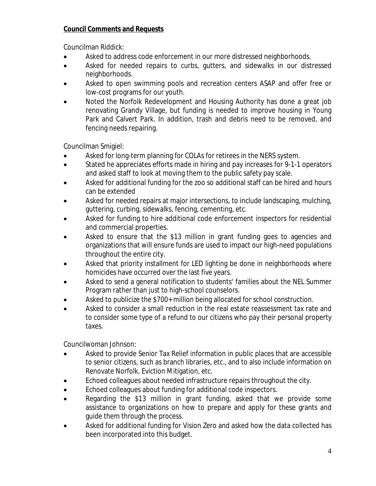# **Council Comments and Requests**

Councilman Riddick:

- Asked to address code enforcement in our more distressed neighborhoods.
- Asked for needed repairs to curbs, gutters, and sidewalks in our distressed neighborhoods.
- Asked to open swimming pools and recreation centers ASAP and offer free or low-cost programs for our youth.
- Noted the Norfolk Redevelopment and Housing Authority has done a great job renovating Grandy Village, but funding is needed to improve housing in Young Park and Calvert Park. In addition, trash and debris need to be removed, and fencing needs repairing.

Councilman Smigiel:

- Asked for long-term planning for COLAs for retirees in the NERS system.
- Stated he appreciates efforts made in hiring and pay increases for 9-1-1 operators and asked staff to look at moving them to the public safety pay scale.
- Asked for additional funding for the zoo so additional staff can be hired and hours can be extended
- Asked for needed repairs at major intersections, to include landscaping, mulching, guttering, curbing, sidewalks, fencing, cementing, etc.
- Asked for funding to hire additional code enforcement inspectors for residential and commercial properties.
- Asked to ensure that the \$13 million in grant funding goes to agencies and organizations that will ensure funds are used to impact our high-need populations throughout the entire city.
- Asked that priority installment for LED lighting be done in neighborhoods where homicides have occurred over the last five years.
- Asked to send a general notification to students' families about the NEL Summer Program rather than just to high-school counselors.
- Asked to publicize the \$700+ million being allocated for school construction.
- Asked to consider a small reduction in the real estate reassessment tax rate and to consider some type of a refund to our citizens who pay their personal property taxes.

Councilwoman Johnson:

- Asked to provide Senior Tax Relief information in public places that are accessible to senior citizens, such as branch libraries, etc., and to also include information on Renovate Norfolk, Eviction Mitigation, etc.
- Echoed colleagues about needed infrastructure repairs throughout the city.
- Echoed colleagues about funding for additional code inspectors.
- Regarding the \$13 million in grant funding, asked that we provide some assistance to organizations on how to prepare and apply for these grants and guide them through the process.
- Asked for additional funding for Vision Zero and asked how the data collected has been incorporated into this budget.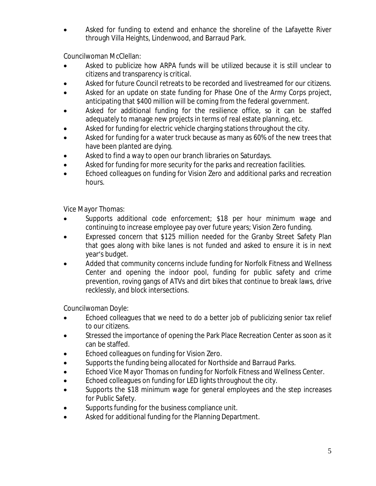Asked for funding to extend and enhance the shoreline of the Lafayette River through Villa Heights, Lindenwood, and Barraud Park.

Councilwoman McClellan:

- Asked to publicize how ARPA funds will be utilized because it is still unclear to citizens and transparency is critical.
- Asked for future Council retreats to be recorded and livestreamed for our citizens.
- Asked for an update on state funding for Phase One of the Army Corps project, anticipating that \$400 million will be coming from the federal government.
- Asked for additional funding for the resilience office, so it can be staffed adequately to manage new projects in terms of real estate planning, etc.
- Asked for funding for electric vehicle charging stations throughout the city.
- Asked for funding for a water truck because as many as 60% of the new trees that have been planted are dying.
- Asked to find a way to open our branch libraries on Saturdays.
- Asked for funding for more security for the parks and recreation facilities.
- Echoed colleagues on funding for Vision Zero and additional parks and recreation hours.

Vice Mayor Thomas:

- Supports additional code enforcement; \$18 per hour minimum wage and continuing to increase employee pay over future years; Vision Zero funding.
- Expressed concern that \$125 million needed for the Granby Street Safety Plan that goes along with bike lanes is not funded and asked to ensure it is in next year's budget.
- Added that community concerns include funding for Norfolk Fitness and Wellness Center and opening the indoor pool, funding for public safety and crime prevention, roving gangs of ATVs and dirt bikes that continue to break laws, drive recklessly, and block intersections.

Councilwoman Doyle:

- Echoed colleagues that we need to do a better job of publicizing senior tax relief to our citizens.
- Stressed the importance of opening the Park Place Recreation Center as soon as it can be staffed.
- Echoed colleagues on funding for Vision Zero.
- Supports the funding being allocated for Northside and Barraud Parks.
- Echoed Vice Mayor Thomas on funding for Norfolk Fitness and Wellness Center.
- Echoed colleagues on funding for LED lights throughout the city.
- Supports the \$18 minimum wage for general employees and the step increases for Public Safety.
- Supports funding for the business compliance unit.
- Asked for additional funding for the Planning Department.